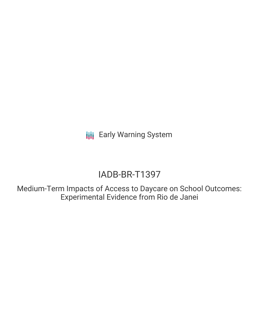**III** Early Warning System

# IADB-BR-T1397

Medium-Term Impacts of Access to Daycare on School Outcomes: Experimental Evidence from Rio de Janei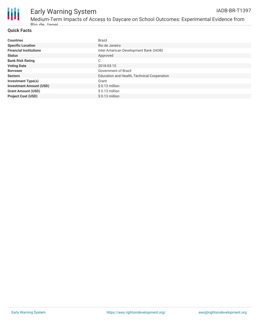

## Early Warning System

Medium-Term Impacts of Access to Daycare on School Outcomes: Experimental Evidence from Rio de Janei

#### **Quick Facts**

| <b>Countries</b>               | Brazil                                      |
|--------------------------------|---------------------------------------------|
| <b>Specific Location</b>       | Rio de Janeiro                              |
| <b>Financial Institutions</b>  | Inter-American Development Bank (IADB)      |
| <b>Status</b>                  | Approved                                    |
| <b>Bank Risk Rating</b>        | С                                           |
| <b>Voting Date</b>             | 2018-03-15                                  |
| <b>Borrower</b>                | Government of Brazil                        |
| <b>Sectors</b>                 | Education and Health, Technical Cooperation |
| <b>Investment Type(s)</b>      | Grant                                       |
| <b>Investment Amount (USD)</b> | $$0.13$ million                             |
| <b>Grant Amount (USD)</b>      | $$0.13$ million                             |
| <b>Project Cost (USD)</b>      | $$0.13$ million                             |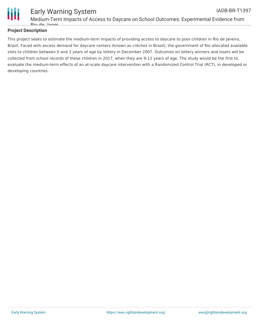

#### **Project Description**

This project seeks to estimate the medium-term impacts of providing access to daycare to poor children in Rio de Janeiro, Brazil. Faced with excess demand for daycare centers (known as crèches in Brazil), the government of Rio allocated available slots to children between 0 and 3 years of age by lottery in December 2007. Outcomes on lottery winners and losers will be collected from school records of these children in 2017, when they are 9-12 years of age. The study would be the first to evaluate the medium-term effects of an at-scale daycare intervention with a Randomized Control Trial (RCT), in developed or developing countries.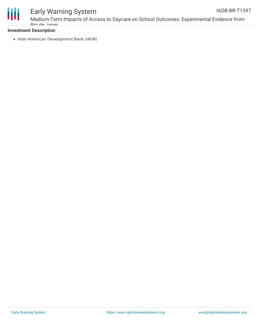

### Early Warning System

Medium-Term Impacts of Access to Daycare on School Outcomes: Experimental Evidence from Rio de Janei

#### **Investment Description**

• Inter-American Development Bank (IADB)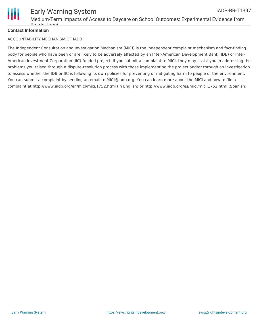

#### **Contact Information**

#### ACCOUNTABILITY MECHANISM OF IADB

The Independent Consultation and Investigation Mechanism (MICI) is the independent complaint mechanism and fact-finding body for people who have been or are likely to be adversely affected by an Inter-American Development Bank (IDB) or Inter-American Investment Corporation (IIC)-funded project. If you submit a complaint to MICI, they may assist you in addressing the problems you raised through a dispute-resolution process with those implementing the project and/or through an investigation to assess whether the IDB or IIC is following its own policies for preventing or mitigating harm to people or the environment. You can submit a complaint by sending an email to MICI@iadb.org. You can learn more about the MICI and how to file a complaint at http://www.iadb.org/en/mici/mici,1752.html (in English) or http://www.iadb.org/es/mici/mici,1752.html (Spanish).